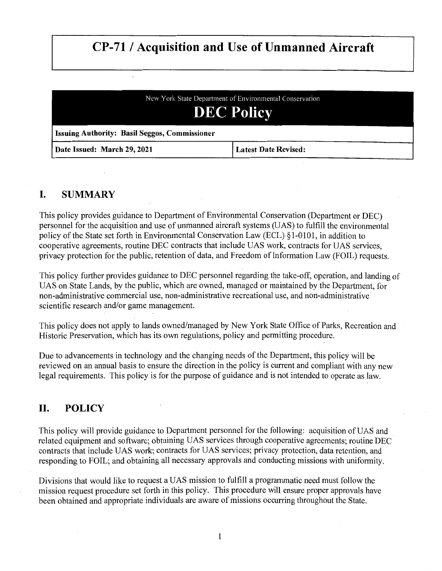# **CP-71 / Acquisition and Use of Unmanned Aircraft**

| New York State Department of Environmental Conservation<br><b>DEC Policy</b> |                             |
|------------------------------------------------------------------------------|-----------------------------|
| <b>Issuing Authority: Basil Seggos, Commissioner</b>                         |                             |
| Date Issued: March 29, 2021                                                  | <b>Latest Date Revised:</b> |

# **I. SUMMARY**

This policy provides guidance to Department of Environmental Conservation (Department or DEC) personnel for the acquisition and use of unmanned aircraft systems (UAS) to fulfill the environmental policy of the State set forth in Environmental Conservation Law (ECL) § 1-0101, in addition to cooperative agreements, routine DEC contracts that include UAS work, contracts for UAS services, privacy protection for the public, retention of data, and Freedom of Information Law (FOIL) requests.

This policy further provides guidance to DEC personnel regarding the take-off, operation, and landing of UAS on State Lands, by the public, which are owned, managed or maintained by the Department, for non-administrative commercial use, non-administrative recreational use, and non-administrative scientific research and/or game management.

This policy does not apply to lands owned/managed by New York State Office of Parks, Recreation and Historic Preservation, which has its own regulations, policy and permitting procedure.

Due to advancements in technology and the changing needs of the Department, this policy will be reviewed on an annual basis to ensure the direction in the policy is current and compliant with any new legal requirements. This policy is for the purpose of guidance and is not intended to operate as law.

# **II. POLICY**

This policy will provide guidance to Department personnel for the following: acquisition of UAS and related equipment and software; obtaining UAS services through cooperative agreements; routine DEC contracts that include UAS work; contracts for UAS services; privacy protection, data retention, and responding to FOIL; and obtaining all necessary approvals and conducting missions with uniformity.

Divisions that would like to request a UAS mission to fulfill a programmatic need must follow the mission request procedure set forth in this policy. This procedure will ensure proper approvals have been obtained and appropriate individuals are aware of missions occurring throughout the State.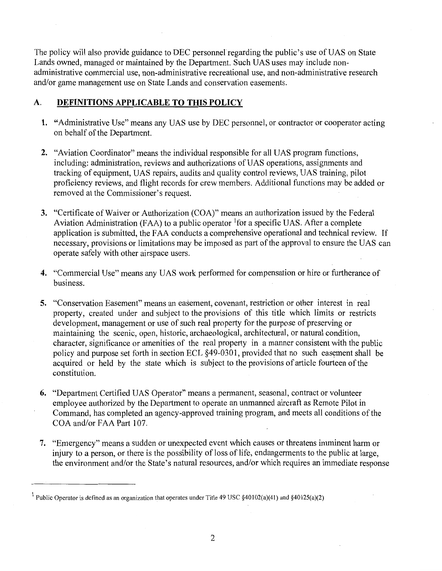The policy will also provide guidance to DEC personnel regarding the public's use of UAS on State Lands owned, managed or maintained by the Department. Such UAS uses may include nonadministrative commercial use, non-administrative recreational use, and non-administrative research and/or game management use on State Lands and conservation easements.

#### **A. DEFINITIONS APPLICABLE TO THIS POLICY**

- **1.** "Administrative Use" means any UAS use by DEC personnel, or contractor or cooperator acting on behalf of the Department.
- **2.** "Aviation Coordinator" means the individual responsible for all UAS program functions, including: administration, reviews and authorizations of UAS operations, assignments and tracking of equipment, UAS repairs, audits and quality control reviews, UAS training, pilot proficiency reviews, and flight records for crew members. Additional functions may be added or removed at the Commissioner's request.
- **3.** "Certificate of Waiver or Authorization (COA)" means an authorization issued by the Federal Aviation Administration (FAA) to a public operator <sup>1</sup> for a specific UAS. After a complete application is submitted, the FAA conducts a comprehensive operational and technical review. If necessary, provisions or limitations may be imposed as part of the approval to ensure the UAS can operate safely with other airspace users.
- **4.** "Commercial Use" means any UAS work performed for compensation or hire or furtherance of business.
- **5.** "Conservation Easement" means an easement, covenant, restriction or other interest in real property, created under and subject to the provisions of this title which limits or restricts development, management or use of such real property for the purpose of preserving or maintaining the scenic, open, historic, archaeological, architectural, or natural condition, character, significance or amenities of the real property in a manner consistent with the public policy and purpose set forth in section ECL §49-0301, provided that no such easement shall be acquired or held by the state which is subject to the provisions of article fourteen of the constitution.
- **6.** "Department Certified UAS Operator" means a permanent, seasonal, contract or volunteer employee authorized by the Department to operate an unmanned aircraft as Remote Pilot in Command, has completed an agency-approved training program, and meets all conditions of the COA and/or FAA Part 107.
- **7.** "Emergency" means a sudden or unexpected event which causes or threatens imminent harm or injury to a person, or there is the possibility of loss of life, endangerments to the public at large, the environment and/or the State's natural resources, and/or which requires an immediate response

<sup>&</sup>lt;sup>1</sup> Public Operator is defined as an organization that operates under Title 49 USC §40102(a)(41) and §40125(a)(2)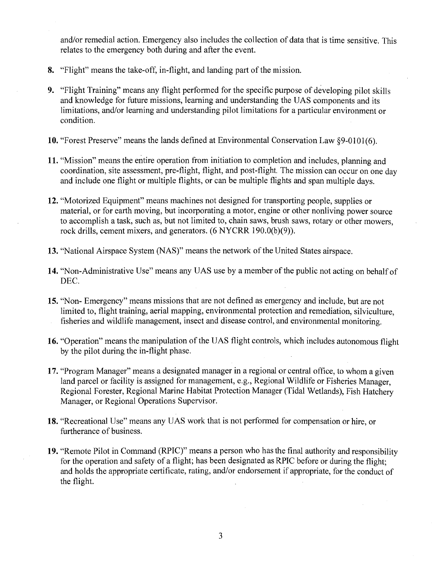and/or remedial action. Emergency also includes the collection of data that is time sensitive. This relates to the emergency both during and after the event.

- **8.** "Flight" means the take-off, in-flight, and landing part of the mission.
- **9.** "Flight Training" means any flight performed for the specific purpose of developing pilot skills and knowledge for future missions, learning and understanding the UAS components and its limitations, and/or learning and understanding pilot limitations for a particular environment or condition.
- **10.** "Forest Preserve" means the lands defined at Environmental Conservation Law §9-0101(6).
- **11.** "Mission" means the entire operation from initiation to completion and includes, planning and coordination, site assessment, pre-flight, flight, and post-flight. The mission can occur on one day and include one flight or multiple flights, or can be multiple flights and span multiple days.
- **12.** "Motorized Equipment" means machines not designed for transporting people, supplies or material, or for earth moving, but incorporating a motor, engine or other nonliving power source to accomplish a task, such as, but not limited to, chain saws, brush saws, rotary or other mowers, rock drills, cement mixers, and generators. (6 NYCRR 190.0(b)(9)).
- **13.** "National Airspace System (NAS)" means the network of the United States airspace.
- **14.** "Non-Administrative Use" means any UAS use by a member of the public not acting on behalf of DEC.
- **15.** "Non- Emergency" means missions that are not defined as emergency and include, but are not limited to, flight training, aerial mapping, environmental protection and remediation, silviculture, fisheries and wildlife management, insect and disease control, and environmental monitoring.
- **16.** "Operation" means the manipulation of the UAS flight controls, which includes autonomous flight by the pilot during the in-flight phase.
- **17.** "Program Manager" means a designated manager in a regional or central office, to whom a given land parcel or facility is assigned for management, e.g., Regional Wildlife or Fisheries Manager, Regional Forester, Regional Marine Habitat Protection Manager (Tidal Wetlands), Fish Hatchery Manager, or Regional Operations Supervisor.
- **18.** "Recreational Use" means any UAS work that is not performed for compensation or hire, or furtherance of business.
- **19.** "Remote Pilot in Command (RPIC)" means a person who has the final authority and responsibility for the operation and safety of a flight; has been designated as RPIC before or during the flight; and holds the appropriate certificate, rating, and/or endorsement if appropriate, for the conduct of the flight.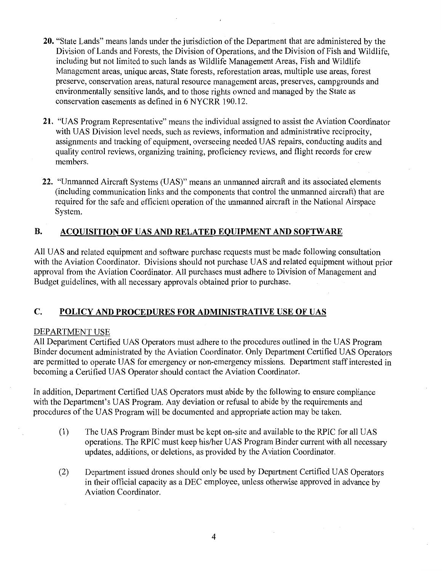- **20.** "State Lands" means lands under the jurisdiction of the Department that are administered by the Division of Lands and Forests, the Division of Operations, and the Division of Fish and Wildlife, including but not limited to such lands as Wildlife Management Areas, Fish and Wildlife Management areas, unique areas, State forests, reforestation areas, multiple use areas, forest preserve, conservation areas, natural resource management areas, preserves, campgrounds and environmentally sensitive lands, and to those rights owned and managed by the State as conservation easements as defined in 6 NYCRR 190.12.
- **21.** "UAS Program Representative" means the individual assigned to assist the Aviation Coordinator with UAS Division level needs, such as reviews, information and administrative reciprocity, assignments and tracking of equipment, overseeing needed UAS repairs, conducting audits and quality control reviews, organizing training, proficiency reviews, and flight records for crew members.
- **22.** "Unmanned Aircraft Systems (UAS)" means an unmanned aircraft and its associated elements (including communication links and the components that control the unmanned aircraft) that are required for the safe and efficient operation of the unmanned aircraft in the National Airspace System.

# **B. ACQUISITION OF UAS AND RELATED EQUIPMENT AND SOFTWARE**

All UAS and related equipment and software purchase requests must be made following consultation with the Aviation Coordinator. Divisions should not purchase UAS and related equipment without prior approval from the Aviation Coordinator. All purchases must adhere to Division of Management and Budget guidelines, with all necessary approvals obtained prior to purchase.

# **C. POLICY AND PROCEDURES FOR ADMINISTRATIVE USE OF UAS**

#### DEPARTMENT USE

All Department Certified UAS Operators must adhere to the procedures outlined in the UAS Program Binder document administrated by the Aviation Coordinator. Only Department Certified UAS Operators are permitted to operate UAS for emergency or non-emergency missions. Department staff interested in becoming a Certified UAS Operator should contact the Aviation Coordinator.

In addition, Department Certified UAS Operators must abide by the following to ensure compliance with the Department's UAS Program. Any deviation or refusal to abide by the requirements and procedures of the UAS Program will be documented and appropriate action may be taken.

- (1) The UAS Program Binder must be kept on-site and available to the RPIC for all UAS operations. The RPIC must keep his/her UAS Program Binder current with all necessary updates, additions, or deletions, as provided by the Aviation Coordinator.
- (2) Department issued drones should only be used by Department Certified UAS Operators in their official capacity as a DEC employee, unless otherwise approved in advance by Aviation Coordinator.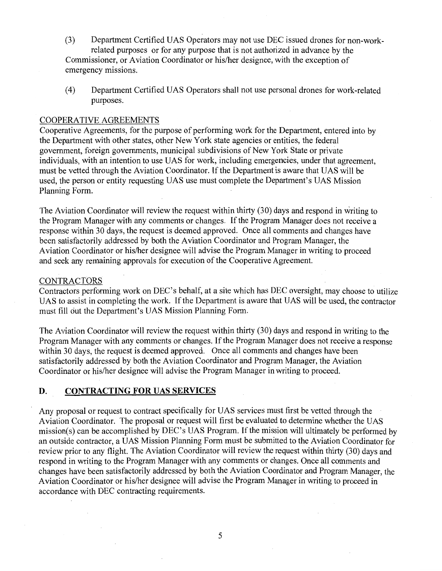- (3) Department Certified UAS Operators may not use DEC issued drones for non-workrelated purposes or for any purpose that is not authorized in advance by the Commissioner, or Aviation Coordinator or his/her designee, with the exception of emergency missions.
- (4) Department Certified UAS Operators shall not use personal drones for work-related purposes.

#### COOPERATIVE AGREEMENTS

Cooperative Agreements, for the purpose of performing work for the Department, entered into by the Department with other states, other New York state agencies or entities, the federal government, foreign governments, municipal subdivisions of New York State or private individuals, with an intention to use UAS for work, including emergencies, under that agreement, must be vetted through the Aviation Coordinator. If the Department is aware that UAS will be used, the person or entity requesting UAS use must complete the Department's UAS Mission Planning Form.

The Aviation Coordinator will review the request within thirty (30) days and respond in writing to the Program Manager with any comments or changes. If the Program Manager does not receive a response within 30 days, the request is deemed approved. Once all comments and changes have been satisfactorily addressed by both the Aviation Coordinator and Program Manager, the Aviation Coordinator or his/her designee will advise the Program Manager in writing to proceed and seek any remaining approvals for execution of the Cooperative Agreement.

#### **CONTRACTORS**

Contractors performing work on DEC's behalf, at a site which has DEC oversight, may choose to utilize UAS to assist in completing the work. If the Department is aware that UAS will be used, the contractor must fill out the Department's UAS Mission Planning Form.

The Aviation Coordinator will review the request within thirty (30) days and respond in writing to the Program Manager with any comments or changes. If the Program Manager does not receive a response within 30 days, the request is deemed approved. Once all comments and changes have been satisfactorily addressed by both the Aviation Coordinator and Program Manager, the Aviation Coordinator or his/her designee will advise the Program Manager in writing to proceed.

#### **D. CONTRACTING FOR UAS SERVICES**

Any proposal or request to contract specifically for UAS services must first be vetted through the Aviation Coordinator. The proposal or request will first be evaluated to determine whether the UAS mission(s) can be accomplished by DEC's UAS Program. If the mission will ultimately be performed by an outside contractor, a UAS Mission Planning Form must be submitted to the Aviation Coordinator for review prior to any flight. The Aviation Coordinator will review the request within thirty (30) days and respond in writing to the Program Manager with any comments or changes. Once all comments and changes have been satisfactorily addressed by both the Aviation Coordinator and Program Manager, the Aviation Coordinator or his/her designee will advise the Program Manager in writing to proceed in accordance with DEC contracting requirements.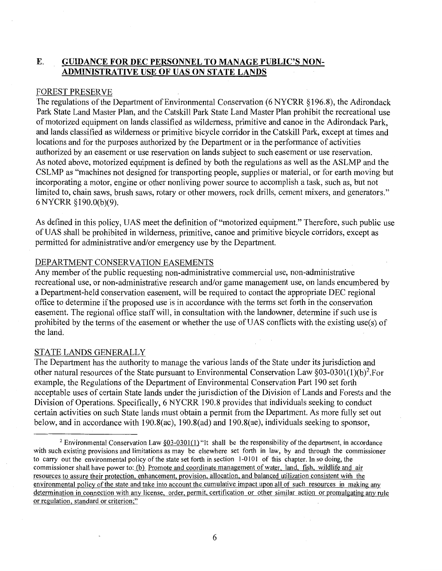# **E. GUIDANCE FOR DEC PERSONNEL TO MANAGE PUBLIC'S NON-ADMINISTRATIVE USE OF UAS ON STATE LANDS**

#### FOREST PRESERVE

The regulations of the Department of Environmental Conservation (6 NYCRR §196.8), the Adirondack Park State Land Master Plan, and the Catskill Park State Land Master Plan prohibit the recreational use of motorized equipment on lands classified as wilderness, primitive and canoe in the Adirondack Park, and lands classified as wilderness or primitive bicycle corridor in the Catskill Park, except at times and locations and for the purposes authorized by the Department or in the performance of activities authorized by an easement or use reservation on lands subject to such easement or use reservation. As noted above, motorized equipment is defined by both the regulations as well as the ASLMP and the CSLMP as "machines not designed for transporting people, supplies or material, or for earth moving but incorporating a motor, engine or other nonliving power source to accomplish a task, such as, but not limited to, chain saws, brush saws, rotary or other mowers, rock drills, cement mixers, and generators." 6 NYCRR §190.0(b)(9).

As defined in this policy, UAS meet the definition of "motorized equipment." Therefore, such public use of UAS shall be prohibited in wilderness, primitive, canoe and primitive bicycle corridors, except as permitted for administrative and/or emergency use by the Department.

#### DEPARTMENT CONSERVATION EASEMENTS

Any member of the public requesting non-administrative commercial use, non-administrative recreational use, or non-administrative research and/or game management use, on lands encumbered by a Department-held conservation easement, will be required to contact the appropriate DEC regional office to determine if the proposed use is in accordance with the terms set forth in the conservation easement. The regional office staff will, in consultation with the landowner, determine if such use is prohibited by the terms of the easement or whether the use of UAS conflicts with the existing use(s) of the land.

#### STATE LANDS GENERALLY

The Department has the authority to manage the various lands of the State under its jurisdiction and other natural resources of the State pursuant to Environmental Conservation Law  $\S 03$ -0301(1)(b)<sup>2</sup>. For example, the Regulations of the Department of Environmental Conservation Part 190 set forth acceptable uses of certain State lands under the jurisdiction of the Division of Lands and Forests and the Division of Operations. Specifically, 6 NYCRR 190.8 provides that individuals seeking to conduct certain activities on such State lands must obtain a permit from the Department. As more fully set out below, and in accordance with 190.8(ac), 190.8(ad) and 190.8(ae), individuals seeking to sponsor,

<sup>&</sup>lt;sup>2</sup> Environmental Conservation Law  $§03-0301(1)$  "It shall be the responsibility of the department, in accordance with such existing provisions and limitations as may be elsewhere set forth in law, by and through the commissioner to carry out the environmental policy of the state set forth in section 1-0101 of this chapter. In so doing, the commissioner shall have power to: (b) Promote and coordinate management of water, land, fish, wildlife and air resources to assure their protection, enhancement, provision, allocation, and balanced utilization consistent with the environmental policy of the state and take into account the cumulative impact upon all of such resources in making any determination in connection with any license, order, permit, certification or other similar action or promulgating any rule or regulation, standard or criterion;"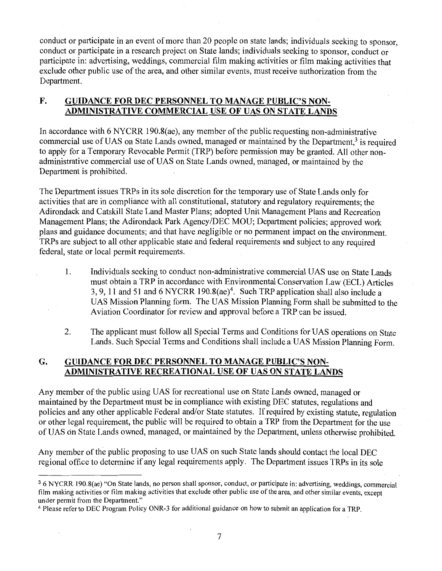conduct or participate in an event of more than 20 people on state lands; individuals seeking to sponsor, conduct or participate in a research project on State lands; individuals seeking to sponsor, conduct or participate in: advertising, weddings, commercial film making activities or film making activities that exclude other public use of the area, and other similar events, must receive authorization from the Department.

# **F. GUIDANCE FOR DEC PERSONNEL TO MANAGE PUBLIC'S NON-ADMINISTRATIVE COMMERCIAL USE OF UAS ON STATE LANDS**

In accordance with 6 NYCRR 190.8(ae), any member of the public requesting non-administrative commercial use of UAS on State Lands owned, managed or maintained by the Department,<sup>3</sup> is required to apply for a Temporary Revocable Permit (TRP) before permission may be granted. All other nonadministrative commercial use of UAS on State Lands owned, managed, or maintained by the Department is prohibited.

The Department issues TRPs in its sole discretion for the temporary use of State Lands only for activities that are in compliance with all constitutional, statutory and regulatory requirements; the Adirondack and Catskill State Land Master Plans; adopted Unit Management Plans and Recreation Management Plans; the Adirondack Park Agency/DEC MOU; Department policies; approved work plans and guidance documents; and that have negligible or no permanent impact on the environment. TRPs are subject to all other applicable state and federal requirements and subject to any required federal, state or local permit requirements.

- 1. Indiviquals seeking to conduct non-administrative commercial UAS use on State Lands must obtain a TRP in accordance with Environmental Conservation Law (ECL) Articles 3, 9, 11 and 51 and 6 NYCRR 190.8(ae)<sup>4</sup>. Such TRP application shall also include a UAS Mission Planning form. The UAS Mission Planning Form shall be submitted to the Aviation Coordinator for review and approval before a TRP can be issued.
- 2. The applicant must follow all Special Terms and Conditions for UAS operations on State Lands. Such Special Terms and Conditions shall include a UAS Mission Planning Form.

# **G. GUIDANCE FOR DEC PERSONNEL TO MANAGE PUBLIC'S NON-ADMINISTRATIVE RECREATIONAL USE OF UAS ON STATE LANDS**

Any member of the public using UAS for recreational use on State Lands owned, managed or maintained by the Department must be in compliance with existing DEC statutes, regulations and policies and any other applicable Federal and/or State statutes. If required by existing statute, regulation or other legal requirement, the public will be required to obtain a TRP from the Department for the use of UAS on State Lands owned, managed, or maintained by the Department, unless otherwise prohibited.

Any member of the public proposing to use UAS on such State lands should contact the local DEC regional office to determine if any legal requirements apply. The Department issues TRPs in its sole

<sup>3</sup>6 NYCRR 190.8(ae) "On State lands, no person shall sponsor, conduct, or participate in: advertising, weddings, commercial film making activities or film making activities that exclude other public use of the area, and other similar events, except under permit from the Department."

<sup>4</sup>Please refer to DEC Program Policy ONR-3 for additional guidance on how to submit an application for a TRP.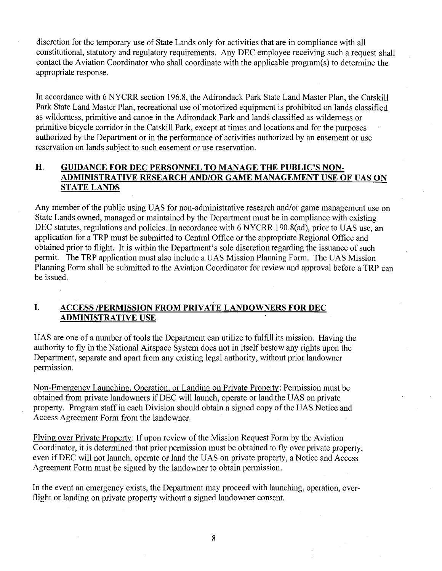discretion for the temporary use of State Lands only for activities that are in compliance with all constitutional, statutory and regulatory requirements. Any DEC employee receiving such a request shall contact the Aviation Coordinator who shall coordinate with the applicable program(s) to determine the appropriate response.

In accordance with 6 NYCRR section 196.8, the Adirondack Park State Land Master Plan, the Catskill Park State Land Master Plan, recreational use of motorized equipment is prohibited on lands classified as wilderness, primitive and canoe in the Adirondack Park and lands classified as wilderness or primitive bicycle corridor in the Catskill Park, except at times and locations and for the purposes authorized by the Department or in the performance of activities authorized by an easement or use reservation on lands subject to such easement or use reservation.

# **H. GUIDANCE FOR DEC PERSONNEL TO MANAGE THE PUBLIC'S NON-ADMINISTRATIVE RESEARCH AND/OR GAME MANAGEMENT USE OF UAS ON STATE LANDS**

Any member of the public using UAS for non-administrative research and/or game management use on State Lands owned, managed or maintained by the Department must be in compliance with existing DEC statutes, regulations and policies. In accordance with 6 NYCRR 190.8(ad), prior to UAS use, an application for a TRP must be submitted to Central Office or the appropriate Regional Office and obtained prior to flight. It is within the Department's sole discretion regarding the issuance of such permit. The TRP application must also include a UAS Mission Planning Form. The UAS Mission Planning Form shall be submitted to the Aviation Coordinator for review and approval before a TRP can be issued.

# **I. ACCESS /PERMISSION FROM PRIVATE LANDOWNERS FOR DEC ADMINISTRATIVE USE**

UAS are one of a number of tools the Department can utilize to fulfill its mission. Having the authority to fly in the National Airspace System does not in itself bestow any rights upon the Department, separate and apart from any existing legal authority, without prior landowner permission.

Non-Emergency Launching, Operation, or Landing on Private Property: Permission must be obtained from private landowners if DEC will launch, operate or land the UAS on private property. Program staff in each Division should obtain a signed copy of the UAS Notice and Access Agreement Form from the landowner.

Flying over Private Property: If upon review of the Mission Request Form by the Aviation Coordinator, it is determined that prior permission must be obtained to fly over private property, even if DEC will not launch, operate or land the UAS on private property, a Notice and Access Agreement Form must be signed by the landowner to obtain permission.

In the event an emergency exists, the Department may proceed with launching, operation, overflight or landing on private property without a signed landowner consent.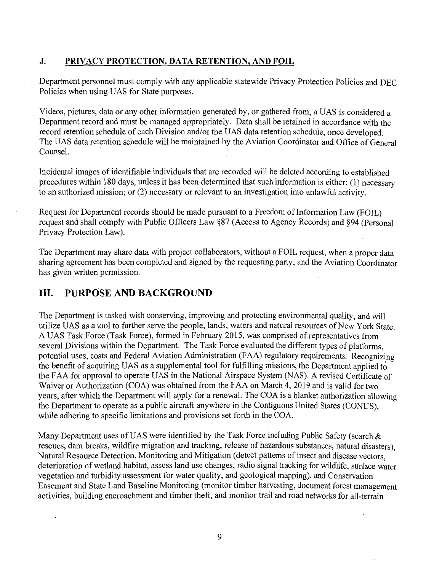#### **J. PRIVACY PROTECTION, DATA RETENTION, AND FOIL**

Department personnel must comply with any applicable statewide Privacy Protection Policies and DEC Policies when using UAS for State purposes.

Videos, pictures, data or any other information generated by, or gathered from, a UAS is considered a Department record and must be managed appropriately. Data shall be retained in accordance with the record retention schedule of each Division and/or the UAS data retention schedule, once developed. The UAS data retention schedule will be maintained by the Aviation Coordinator and Office of General Counsel.

Incidental images of identifiable individuals that are recorded will be deleted according to established procedures within 180 days, unless it has been determined that such information is either: (1) necessary to an authorized mission; or (2) necessary or relevant to an investigation into unlawful activity.

Request for Department records should be made pursuant to a Freedom of Information Law (FOIL) request and shall comply with Public Officers Law §87 (Access to Agency Records) and §94 (Personal Privacy Protection Law).

The Department may share data with project collaborators, without a FOIL request, when a proper data sharing agreement has been completed and signed by the requesting party, and the Aviation Coordinator has given written permission.

# **III. PURPOSE AND BACKGROUND**

The Department is tasked with conserving, improving and protecting environmental quality, and will utilize UAS as a tool to further serve the people, lands, waters and natural resources of New York State. A UAS Task Force (Task Force), formed in February 2015, was comprised ofrepresentatives from several Divisions within the Department. The Task Force evaluated the different types of platforms, potential uses, costs and Federal Aviation Administration (FAA) regulatory requirements. Recognizing the benefit of acquiring UAS as a supplemental tool for fulfilling missions, the Department applied to the FAA for approval to operate UAS in the National Airspace System (NAS). A revised Certificate of Waiver or Authorization (COA) was obtained from the FAA on March 4, 2019 and is valid for two years, after which the Department will apply for a renewal. The COA is a blanket authorization allowing the Department to operate as a public aircraft anywhere in the Contiguous United States (CONUS), while adhering to specific limitations and provisions set forth in the COA.

Many Department uses of UAS were identified by the Task Force including Public Safety (search  $\&$ rescues, dam breaks, wildfire migration and tracking, release of hazardous substances, natural disasters). Natural Resource Detection, Monitoring and Mitigation (detect patterns of insect and disease vectors, deterioration of wetland habitat, assess land use changes, radio signal tracking for wildlife, surface water vegetation and turbidity assessment for water quality, and geological mapping), and Conservation Easement and State Land Baseline Monitoring (monitor timber harvesting, document forest management activities, building encroachment and timber theft, and monitor trail and road networks for all-terrain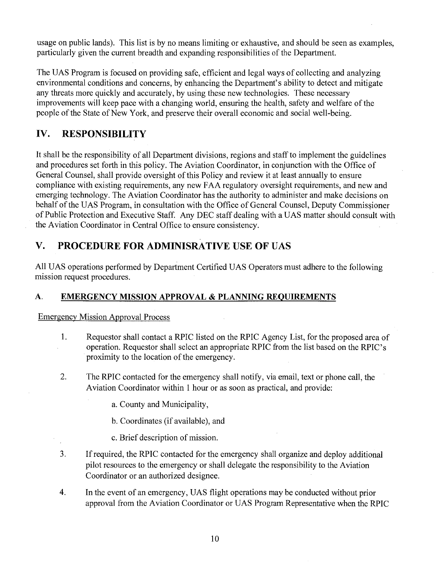usage on public lands). This list is by no means limiting or exhaustive, and should be seen as examples, particularly given the current breadth and expanding responsibilities of the Department.

The UAS Program is focused on providing safe, efficient and legal ways of collecting and analyzing environmental conditions and concerns, by enhancing the Department's ability to detect and mitigate any threats more quickly and accurately, by using these new technologies. These necessary improvements will keep pace with a changing world, ensuring the health, safety and welfare of the people of the State of New York, and preserve their overall economic and social well-being.

# **IV. RESPONSIBILITY**

It shall be the responsibility of all Department divisions, regions and staff to implement the guidelines and procedures set forth in this policy. The Aviation Coordinator, in conjunction with the Office of General Counsel, shall provide oversight of this Policy and review it at least annually to ensure compliance with existing requirements, any new FAA regulatory oversight requirements, and new and emerging technology. The Aviation Coordinator has the authority to administer and make decisions on behalf of the UAS Program, in consultation with the Office of General Counsel, Deputy Commissioner of Public Protection and Executive Staff. Any DEC staff dealing with a UAS matter should consult with the Aviation Coordinator in Central Office to ensure consistency.

# **V. PROCEDURE FOR ADMINISRA TIVE USE OF UAS**

All UAS operations performed by Department Certified UAS Operators must adhere to the following mission request procedures.

# **A. EMERGENCY MISSION APPROVAL & PLANNING REQUIREMENTS**

Emergency Mission Approval Process

- 1. Requestor shall contact a RPIC listed on the RPIC Agency List, for the proposed area of operation. Requestor shall select an appropriate RPIC from the list based on the RPIC's proximity to the location of the emergency.
- 2. The RPIC contacted for the emergency shall notify, via email, text or phone call, the Aviation Coordinator within 1 hour or as soon as practical, and provide:

a. County and Municipality,

b. Coordinates (if available), and

- c. Brief description of mission.
- 3. If required, the RPIC contacted for the emergency shall organize and deploy additional pilot resources to the emergency or shall delegate the responsibility to the Aviation Coordinator or an authorized designee.
- 4. In the event of an emergency, UAS flight operations may be conducted without prior approval from the Aviation Coordinator or UAS Program Representative when the RPIC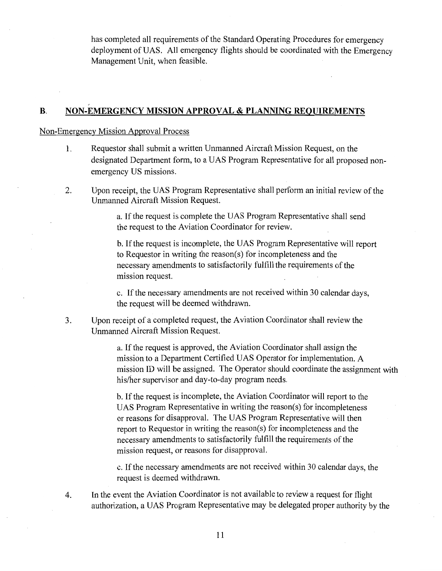has completed all requirements of the Standard Operating Procedures for emergency deployment of UAS. All emergency flights should be coordinated with the Emergency Management Unit, when feasible.

#### **B. NON-EMERGENCY MISSION APPROVAL & PLANNING REQUIREMENTS**

#### Non-Emergency Mission Approval Process

,,

- 1. Requestor shall submit a written Unmanned Aircraft Mission Request, on the designated Department form, to a UAS Program Representative for all proposed nonemergency US missions.
- 2. Upon receipt, the UAS Program Representative shall perform an initial review of the Unmanned Aircraft Mission Request.

a. If the request is complete the UAS Program Representative shall send the request to the Aviation Coordinator for review.

b. If the request is incomplete, the UAS Program Representative will report to Requestor in writing the reason(s) for incompleteness and the necessary amendments to satisfactorily fulfill the requirements of the mission request.

c. If the necessary amendments are not received within 30 calendar days, the request will be deemed withdrawn.

3. Upon receipt of a completed request, the Aviation Coordinator shall review the Unmanned Aircraft Mission Request.

> a. If the request is approved, the Aviation Coordinator shall assign the mission to a Department Certified UAS Operator for implementation. A mission ID will be assigned. The Operator should coordinate the assignment with his/her supervisor and day-to-day program needs.

b. If the request is incomplete, the Aviation Coordinator will report to the UAS Program Representative in writing the reason(s) for incompleteness or reasons for disapproval. The UAS Program Representative will then report to Requestor in writing the reason(s) for incompleteness and the necessary amendments to satisfactorily fulfill the requirements of the mission request, or reasons for disapproval.

c. If the necessary amendments are not received within 30 calendar days, the request is deemed withdrawn.

4. In the event the Aviation Coordinator is not available to review a request for flight authorization, a UAS Program Representative may be delegated proper authority by the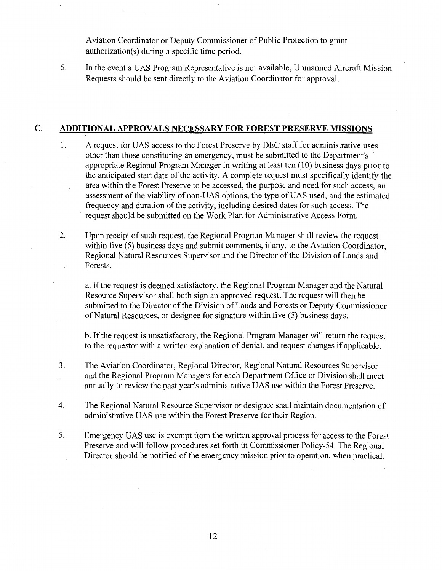Aviation Coordinator or Deputy Commissioner of Public Protection to grant authorization(s) during a specific time period.

5. In the event a UAS Program Representative is not available, Unmanned Aircraft Mission Requests should be sent directly to the Aviation Coordinator for approval.

#### **C. ADDITIONAL APPROVALS NECESSARY FOR FOREST PRESERVE MISSIONS**

- I. A request for UAS access to the Forest Preserve by DEC staff for administrative uses other than those constituting an emergency, must be submitted to the Department's appropriate Regional Program Manager in writing at least ten (10) business days prior to the anticipated start date of the activity. A complete request must specifically identify the area within the Forest Preserve to be accessed, the purpose and need for such access, an assessment of the viability of non-UAS options, the type of UAS used, and the estimated frequency and duration of the activity, including desired dates for such access. The request should be submitted on the Work Plan for Administrative Access Form.
- 2. Upon receipt of such request, the Regional Program Manager shall review the request within five (5) business days and submit comments, if any, to the Aviation Coordinator, Regional Natural Resources Supervisor and the Director of the Division of Lands and Forests.

a. If the request is deemed satisfactory, the Regional Program Manager and the Natural Resource Supervisor shall both sign an approved request. The request will then be submitted to the Director of the Division of Lands and Forests or Deputy Commissioner of Natural Resources, or designee for signature within five (5) business days.

b. If the request is unsatisfactory, the Regional Program Manager will return the request to the requestor with a written explanation of denial, and request changes if applicable.

- 3. The Aviation Coordinator, Regional Director, Regional Natural Resources Supervisor and the Regional Program Managers for each Department Office or Division shall meet annually to review the past year's administrative UAS use within the Forest Preserve.
- 4. The Regional Natural Resource Supervisor or designee shall maintain documentation of administrative UAS use within the Forest Preserve for their Region.
- 5. Emergency UAS use is exempt from the written approval process for access to the Forest Preserve and will follow procedures set forth in Commissioner Policy-54. The Regional Director should be notified of the emergency mission prior to operation, when practical.